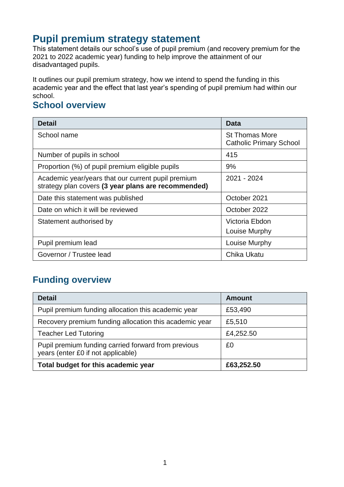# **Pupil premium strategy statement**

This statement details our school's use of pupil premium (and recovery premium for the 2021 to 2022 academic year) funding to help improve the attainment of our disadvantaged pupils.

It outlines our pupil premium strategy, how we intend to spend the funding in this academic year and the effect that last year's spending of pupil premium had within our school.

### **School overview**

| <b>Detail</b>                                                                                             | Data                                                    |
|-----------------------------------------------------------------------------------------------------------|---------------------------------------------------------|
| School name                                                                                               | <b>St Thomas More</b><br><b>Catholic Primary School</b> |
| Number of pupils in school                                                                                | 415                                                     |
| Proportion (%) of pupil premium eligible pupils                                                           | 9%                                                      |
| Academic year/years that our current pupil premium<br>strategy plan covers (3 year plans are recommended) | 2021 - 2024                                             |
| Date this statement was published                                                                         | October 2021                                            |
| Date on which it will be reviewed                                                                         | October 2022                                            |
| Statement authorised by                                                                                   | Victoria Ebdon<br>Louise Murphy                         |
| Pupil premium lead                                                                                        | Louise Murphy                                           |
| Governor / Trustee lead                                                                                   | Chika Ukatu                                             |

## **Funding overview**

| <b>Detail</b>                                                                             | Amount     |
|-------------------------------------------------------------------------------------------|------------|
| Pupil premium funding allocation this academic year                                       | £53,490    |
| Recovery premium funding allocation this academic year                                    | £5,510     |
| <b>Teacher Led Tutoring</b>                                                               | £4,252.50  |
| Pupil premium funding carried forward from previous<br>years (enter £0 if not applicable) | £0         |
| Total budget for this academic year                                                       | £63,252.50 |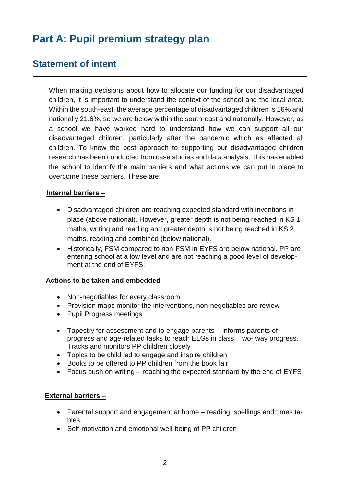# **Part A: Pupil premium strategy plan**

## **Statement of intent**

When making decisions about how to allocate our funding for our disadvantaged children, it is important to understand the context of the school and the local area. Within the south-east, the average percentage of disadvantaged children is 16% and nationally 21.6%, so we are below within the south-east and nationally. However, as a school we have worked hard to understand how we can support all our disadvantaged children, particularly after the pandemic which as affected all children. To know the best approach to supporting our disadvantaged children research has been conducted from case studies and data analysis. This has enabled the school to identify the main barriers and what actions we can put in place to overcome these barriers. These are:

#### **Internal barriers –**

- Disadvantaged children are reaching expected standard with inventions in place (above national). However, greater depth is not being reached in KS 1 maths, writing and reading and greater depth is not being reached in KS 2 maths, reading and combined (below national).
- Historically, FSM compared to non-FSM in EYFS are below national. PP are entering school at a low level and are not reaching a good level of development at the end of EYFS.

#### **Actions to be taken and embedded –**

- Non-negotiables for every classroom
- Provision maps monitor the interventions, non-negotiables are review
- Pupil Progress meetings
- Tapestry for assessment and to engage parents informs parents of progress and age-related tasks to reach ELGs in class. Two- way progress. Tracks and monitors PP children closely
- Topics to be child led to engage and inspire children
- Books to be offered to PP children from the book fair
- Focus push on writing reaching the expected standard by the end of EYFS

#### **External barriers –**

- Parental support and engagement at home reading, spellings and times tables.
- Self-motivation and emotional well-being of PP children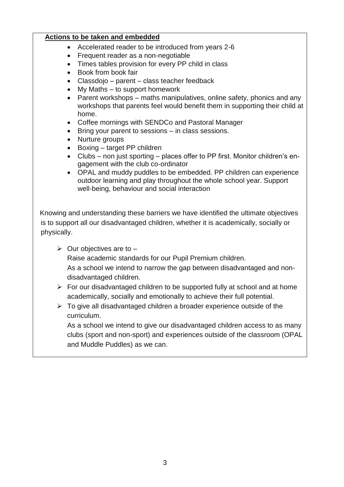#### **Actions to be taken and embedded**

- Accelerated reader to be introduced from years 2-6
- Frequent reader as a non-negotiable
- Times tables provision for every PP child in class
- Book from book fair
- Classdojo parent class teacher feedback
- My Maths to support homework
- Parent workshops maths manipulatives, online safety, phonics and any workshops that parents feel would benefit them in supporting their child at home.
- Coffee mornings with SENDCo and Pastoral Manager
- Bring your parent to sessions in class sessions.
- Nurture groups
- Boxing target PP children
- Clubs non just sporting places offer to PP first. Monitor children's engagement with the club co-ordinator
- OPAL and muddy puddles to be embedded. PP children can experience outdoor learning and play throughout the whole school year. Support well-being, behaviour and social interaction

 Knowing and understanding these barriers we have identified the ultimate objectives is to support all our disadvantaged children, whether it is academically, socially or physically.

 $\triangleright$  Our objectives are to –

Raise academic standards for our Pupil Premium children. As a school we intend to narrow the gap between disadvantaged and non-

disadvantaged children.

- $\triangleright$  For our disadvantaged children to be supported fully at school and at home academically, socially and emotionally to achieve their full potential.
- $\triangleright$  To give all disadvantaged children a broader experience outside of the curriculum.

As a school we intend to give our disadvantaged children access to as many clubs (sport and non-sport) and experiences outside of the classroom (OPAL and Muddle Puddles) as we can.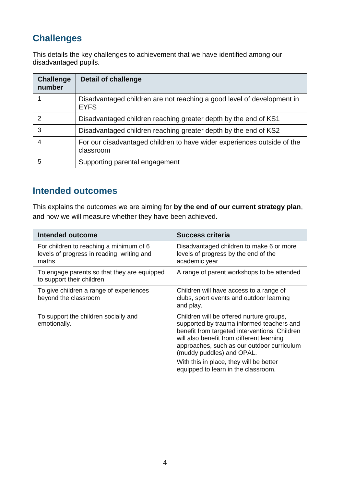# **Challenges**

This details the key challenges to achievement that we have identified among our disadvantaged pupils.

| <b>Challenge</b><br>number | <b>Detail of challenge</b>                                                            |
|----------------------------|---------------------------------------------------------------------------------------|
|                            | Disadvantaged children are not reaching a good level of development in<br><b>EYFS</b> |
| 2                          | Disadvantaged children reaching greater depth by the end of KS1                       |
| 3                          | Disadvantaged children reaching greater depth by the end of KS2                       |
| 4                          | For our disadvantaged children to have wider experiences outside of the<br>classroom  |
| 5                          | Supporting parental engagement                                                        |

## **Intended outcomes**

This explains the outcomes we are aiming for **by the end of our current strategy plan**, and how we will measure whether they have been achieved.

| <b>Intended outcome</b>                                                                        | <b>Success criteria</b>                                                                                                                                                                                                                                                                                                                          |
|------------------------------------------------------------------------------------------------|--------------------------------------------------------------------------------------------------------------------------------------------------------------------------------------------------------------------------------------------------------------------------------------------------------------------------------------------------|
| For children to reaching a minimum of 6<br>levels of progress in reading, writing and<br>maths | Disadvantaged children to make 6 or more<br>levels of progress by the end of the<br>academic year                                                                                                                                                                                                                                                |
| To engage parents so that they are equipped<br>to support their children                       | A range of parent workshops to be attended                                                                                                                                                                                                                                                                                                       |
| To give children a range of experiences<br>beyond the classroom                                | Children will have access to a range of<br>clubs, sport events and outdoor learning<br>and play.                                                                                                                                                                                                                                                 |
| To support the children socially and<br>emotionally.                                           | Children will be offered nurture groups,<br>supported by trauma informed teachers and<br>benefit from targeted interventions. Children<br>will also benefit from different learning<br>approaches, such as our outdoor curriculum<br>(muddy puddles) and OPAL.<br>With this in place, they will be better<br>equipped to learn in the classroom. |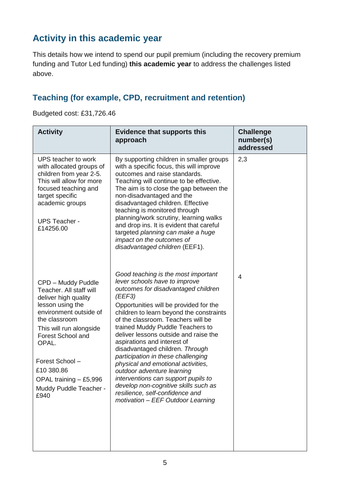# **Activity in this academic year**

This details how we intend to spend our pupil premium (including the recovery premium funding and Tutor Led funding) **this academic year** to address the challenges listed above.

## **Teaching (for example, CPD, recruitment and retention)**

Budgeted cost: £31,726.46

| <b>Activity</b>                                                                                                                                                                                                                                                                                   | <b>Evidence that supports this</b><br>approach                                                                                                                                                                                                                                                                                                                                                                                                                                                                                                                                                                                                                    | <b>Challenge</b><br>number(s)<br>addressed |
|---------------------------------------------------------------------------------------------------------------------------------------------------------------------------------------------------------------------------------------------------------------------------------------------------|-------------------------------------------------------------------------------------------------------------------------------------------------------------------------------------------------------------------------------------------------------------------------------------------------------------------------------------------------------------------------------------------------------------------------------------------------------------------------------------------------------------------------------------------------------------------------------------------------------------------------------------------------------------------|--------------------------------------------|
| UPS teacher to work<br>with allocated groups of<br>children from year 2-5.<br>This will allow for more<br>focused teaching and<br>target specific<br>academic groups<br><b>UPS Teacher -</b><br>£14256.00                                                                                         | By supporting children in smaller groups<br>with a specific focus, this will improve<br>outcomes and raise standards.<br>Teaching will continue to be effective.<br>The aim is to close the gap between the<br>non-disadvantaged and the<br>disadvantaged children. Effective<br>teaching is monitored through<br>planning/work scrutiny, learning walks<br>and drop ins. It is evident that careful<br>targeted planning can make a huge<br>impact on the outcomes of<br>disadvantaged children (EEF1).                                                                                                                                                          | 2,3                                        |
| CPD - Muddy Puddle<br>Teacher. All staff will<br>deliver high quality<br>lesson using the<br>environment outside of<br>the classroom<br>This will run alongside<br><b>Forest School and</b><br>OPAL.<br>Forest School -<br>£10 380.86<br>OPAL training - £5,996<br>Muddy Puddle Teacher -<br>£940 | Good teaching is the most important<br>lever schools have to improve<br>outcomes for disadvantaged children<br>(EEF3)<br>Opportunities will be provided for the<br>children to learn beyond the constraints<br>of the classroom. Teachers will be<br>trained Muddy Puddle Teachers to<br>deliver lessons outside and raise the<br>aspirations and interest of<br>disadvantaged children. Through<br>participation in these challenging<br>physical and emotional activities,<br>outdoor adventure learning<br>interventions can support pupils to<br>develop non-cognitive skills such as<br>resilience, self-confidence and<br>motivation - EEF Outdoor Learning | $\overline{4}$                             |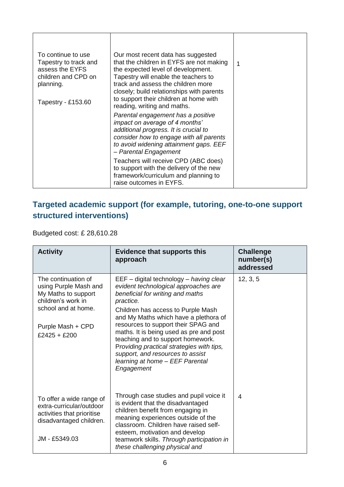| To continue to use<br>Tapestry to track and<br>assess the EYFS<br>children and CPD on<br>planning.<br>Tapestry - £153.60 | Our most recent data has suggested<br>that the children in EYFS are not making<br>the expected level of development.<br>Tapestry will enable the teachers to<br>track and assess the children more<br>closely; build relationships with parents<br>to support their children at home with<br>reading, writing and maths. | 1 |
|--------------------------------------------------------------------------------------------------------------------------|--------------------------------------------------------------------------------------------------------------------------------------------------------------------------------------------------------------------------------------------------------------------------------------------------------------------------|---|
|                                                                                                                          | Parental engagement has a positive<br>impact on average of 4 months'<br>additional progress. It is crucial to<br>consider how to engage with all parents<br>to avoid widening attainment gaps. EEF<br>- Parental Engagement                                                                                              |   |
|                                                                                                                          | Teachers will receive CPD (ABC does)<br>to support with the delivery of the new<br>framework/curriculum and planning to<br>raise outcomes in EYFS.                                                                                                                                                                       |   |

# **Targeted academic support (for example, tutoring, one-to-one support structured interventions)**

Budgeted cost: £ 28,610.28

| <b>Activity</b>                                                                                                                                         | <b>Evidence that supports this</b><br>approach                                                                                                                                                                                                                                                                                                                                                                                                                           | <b>Challenge</b><br>number(s)<br>addressed |
|---------------------------------------------------------------------------------------------------------------------------------------------------------|--------------------------------------------------------------------------------------------------------------------------------------------------------------------------------------------------------------------------------------------------------------------------------------------------------------------------------------------------------------------------------------------------------------------------------------------------------------------------|--------------------------------------------|
| The continuation of<br>using Purple Mash and<br>My Maths to support<br>children's work in<br>school and at home.<br>Purple Mash + CPD<br>$£2425 + £200$ | EEF - digital technology - having clear<br>evident technological approaches are<br>beneficial for writing and maths<br>practice.<br>Children has access to Purple Mash<br>and My Maths which have a plethora of<br>resources to support their SPAG and<br>maths. It is being used as pre and post<br>teaching and to support homework.<br>Providing practical strategies with tips,<br>support, and resources to assist<br>learning at home - EEF Parental<br>Engagement | 12, 3, 5                                   |
| To offer a wide range of<br>extra-curricular/outdoor<br>activities that prioritise<br>disadvantaged children.<br>JM - £5349.03                          | Through case studies and pupil voice it<br>is evident that the disadvantaged<br>children benefit from engaging in<br>meaning experiences outside of the<br>classroom. Children have raised self-<br>esteem, motivation and develop<br>teamwork skills. Through participation in<br>these challenging physical and                                                                                                                                                        | $\overline{4}$                             |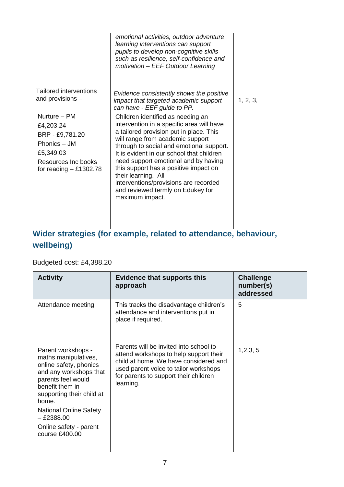|                                                                                                                                                                                   | emotional activities, outdoor adventure<br>learning interventions can support<br>pupils to develop non-cognitive skills<br>such as resilience, self-confidence and<br>motivation - EEF Outdoor Learning                                                                                                                                                                                                                                                                                                                                                                             |          |
|-----------------------------------------------------------------------------------------------------------------------------------------------------------------------------------|-------------------------------------------------------------------------------------------------------------------------------------------------------------------------------------------------------------------------------------------------------------------------------------------------------------------------------------------------------------------------------------------------------------------------------------------------------------------------------------------------------------------------------------------------------------------------------------|----------|
| <b>Tailored interventions</b><br>and provisions -<br>Nurture - PM<br>£4,203.24<br>BRP - £9,781.20<br>Phonics - JM<br>£5,349.03<br>Resources Inc books<br>for reading $-$ £1302.78 | Evidence consistently shows the positive<br>impact that targeted academic support<br>can have - EEF guide to PP.<br>Children identified as needing an<br>intervention in a specific area will have<br>a tailored provision put in place. This<br>will range from academic support<br>through to social and emotional support.<br>It is evident in our school that children<br>need support emotional and by having<br>this support has a positive impact on<br>their learning. All<br>interventions/provisions are recorded<br>and reviewed termly on Edukey for<br>maximum impact. | 1, 2, 3, |

## **Wider strategies (for example, related to attendance, behaviour, wellbeing)**

### Budgeted cost: £4,388.20

| <b>Activity</b>                                                                                                                                                                                                                                                              | <b>Evidence that supports this</b><br>approach                                                                                                                                                                           | <b>Challenge</b><br>number(s)<br>addressed |
|------------------------------------------------------------------------------------------------------------------------------------------------------------------------------------------------------------------------------------------------------------------------------|--------------------------------------------------------------------------------------------------------------------------------------------------------------------------------------------------------------------------|--------------------------------------------|
| Attendance meeting                                                                                                                                                                                                                                                           | This tracks the disadvantage children's<br>attendance and interventions put in<br>place if required.                                                                                                                     | 5                                          |
| Parent workshops -<br>maths manipulatives,<br>online safety, phonics<br>and any workshops that<br>parents feel would<br>benefit them in<br>supporting their child at<br>home.<br><b>National Online Safety</b><br>$-$ £2388.00<br>Online safety - parent<br>course $£400.00$ | Parents will be invited into school to<br>attend workshops to help support their<br>child at home. We have considered and<br>used parent voice to tailor workshops<br>for parents to support their children<br>learning. | 1,2,3,5                                    |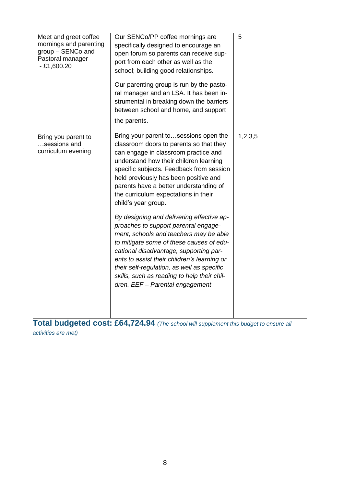| Meet and greet coffee<br>mornings and parenting<br>group - SENCo and<br>Pastoral manager<br>$-£1,600.20$ | Our SENCo/PP coffee mornings are<br>specifically designed to encourage an<br>open forum so parents can receive sup-<br>port from each other as well as the<br>school; building good relationships.<br>Our parenting group is run by the pasto-<br>ral manager and an LSA. It has been in-<br>strumental in breaking down the barriers<br>between school and home, and support<br>the parents.    | 5       |
|----------------------------------------------------------------------------------------------------------|--------------------------------------------------------------------------------------------------------------------------------------------------------------------------------------------------------------------------------------------------------------------------------------------------------------------------------------------------------------------------------------------------|---------|
| Bring you parent to<br>sessions and<br>curriculum evening                                                | Bring your parent tosessions open the<br>classroom doors to parents so that they<br>can engage in classroom practice and<br>understand how their children learning<br>specific subjects. Feedback from session<br>held previously has been positive and<br>parents have a better understanding of<br>the curriculum expectations in their<br>child's year group.                                 | 1,2,3,5 |
|                                                                                                          | By designing and delivering effective ap-<br>proaches to support parental engage-<br>ment, schools and teachers may be able<br>to mitigate some of these causes of edu-<br>cational disadvantage, supporting par-<br>ents to assist their children's learning or<br>their self-regulation, as well as specific<br>skills, such as reading to help their chil-<br>dren. EEF - Parental engagement |         |

**Total budgeted cost: £64,724.94** *(The school will supplement this budget to ensure all activities are met)*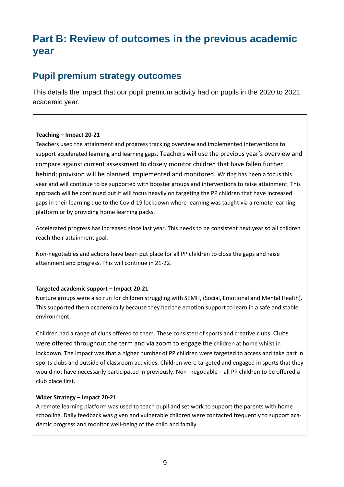# **Part B: Review of outcomes in the previous academic year**

## **Pupil premium strategy outcomes**

This details the impact that our pupil premium activity had on pupils in the 2020 to 2021 academic year.

#### **Teaching – Impact 20-21**

Teachers used the attainment and progress tracking overview and implemented interventions to support accelerated learning and learning gaps. Teachers will use the previous year's overview and compare against current assessment to closely monitor children that have fallen further behind; provision will be planned, implemented and monitored. Writing has been a focus this year and will continue to be supported with booster groups and interventions to raise attainment. This approach will be continued but it will focus heavily on targeting the PP children that have increased gaps in their learning due to the Covid-19 lockdown where learning was taught via a remote learning platform or by providing home learning packs.

Accelerated progress has increased since last year. This needs to be consistent next year so all children reach their attainment goal.

Non-negotiables and actions have been put place for all PP children to close the gaps and raise attainment and progress. This will continue in 21-22.

#### **Targeted academic support – Impact 20-21**

Nurture groups were also run for children struggling with SEMH, (Social, Emotional and Mental Health). This supported them academically because they had the emotion support to learn in a safe and stable environment.

Children had a range of clubs offered to them. These consisted of sports and creative clubs. Clubs were offered throughout the term and via zoom to engage the children at home whilst in lockdown. The impact was that a higher number of PP children were targeted to access and take part in sports clubs and outside of classroom activities. Children were targeted and engaged in sports that they would not have necessarily participated in previously. Non- negotiable – all PP children to be offered a club place first.

#### **Wider Strategy – Impact 20-21**

A remote learning platform was used to teach pupil and set work to support the parents with home schooling. Daily feedback was given and vulnerable children were contacted frequently to support academic progress and monitor well-being of the child and family.